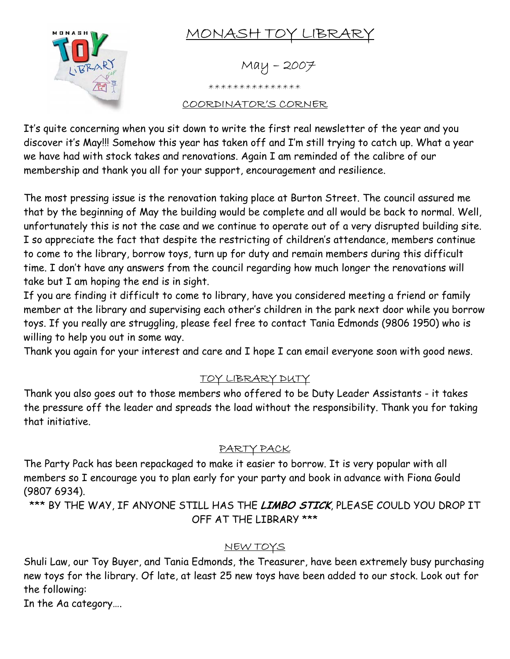

# MONASH TOY LIBRARY

 $May - 2007$ 

\*\*\*\*\*\*\*\*\*\*\*\*\*\*\*

#### COORDINATOR'S CORNER

It's quite concerning when you sit down to write the first real newsletter of the year and you discover it's May!!! Somehow this year has taken off and I'm still trying to catch up. What a year we have had with stock takes and renovations. Again I am reminded of the calibre of our membership and thank you all for your support, encouragement and resilience.

The most pressing issue is the renovation taking place at Burton Street. The council assured me that by the beginning of May the building would be complete and all would be back to normal. Well, unfortunately this is not the case and we continue to operate out of a very disrupted building site. I so appreciate the fact that despite the restricting of children's attendance, members continue to come to the library, borrow toys, turn up for duty and remain members during this difficult time. I don't have any answers from the council regarding how much longer the renovations will take but I am hoping the end is in sight.

If you are finding it difficult to come to library, have you considered meeting a friend or family member at the library and supervising each other's children in the park next door while you borrow toys. If you really are struggling, please feel free to contact Tania Edmonds (9806 1950) who is willing to help you out in some way.

Thank you again for your interest and care and I hope I can email everyone soon with good news.

## TOY LIBRARY DUTY

Thank you also goes out to those members who offered to be Duty Leader Assistants - it takes the pressure off the leader and spreads the load without the responsibility. Thank you for taking that initiative.

### PARTY PACK

The Party Pack has been repackaged to make it easier to borrow. It is very popular with all members so I encourage you to plan early for your party and book in advance with Fiona Gould (9807 6934).

\*\*\* BY THE WAY, IF ANYONE STILL HAS THE **LIMBO STICK**, PLEASE COULD YOU DROP IT OFF AT THE LIBRARY \*\*\*

### NEW TOYS

Shuli Law, our Toy Buyer, and Tania Edmonds, the Treasurer, have been extremely busy purchasing new toys for the library. Of late, at least 25 new toys have been added to our stock. Look out for the following:

In the Aa category….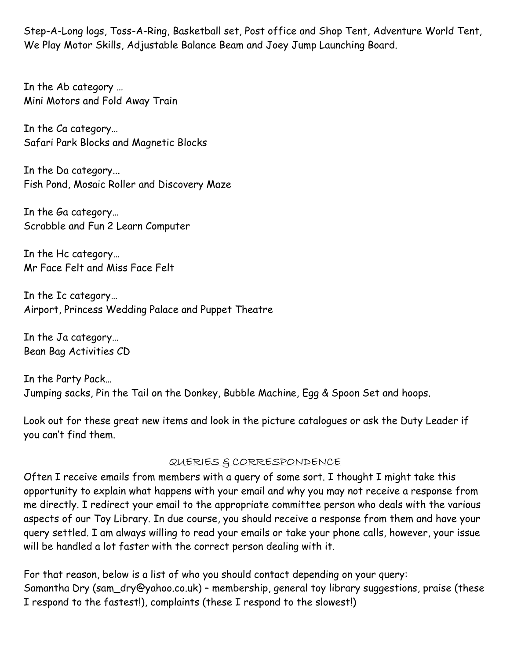Step-A-Long logs, Toss-A-Ring, Basketball set, Post office and Shop Tent, Adventure World Tent, We Play Motor Skills, Adjustable Balance Beam and Joey Jump Launching Board.

In the Ab category … Mini Motors and Fold Away Train

In the Ca category… Safari Park Blocks and Magnetic Blocks

In the Da category... Fish Pond, Mosaic Roller and Discovery Maze

In the Ga category… Scrabble and Fun 2 Learn Computer

In the Hc category… Mr Face Felt and Miss Face Felt

In the Ic category… Airport, Princess Wedding Palace and Puppet Theatre

In the Ja category… Bean Bag Activities CD

In the Party Pack… Jumping sacks, Pin the Tail on the Donkey, Bubble Machine, Egg & Spoon Set and hoops.

Look out for these great new items and look in the picture catalogues or ask the Duty Leader if you can't find them.

#### QUERIES & CORRESPONDENCE

Often I receive emails from members with a query of some sort. I thought I might take this opportunity to explain what happens with your email and why you may not receive a response from me directly. I redirect your email to the appropriate committee person who deals with the various aspects of our Toy Library. In due course, you should receive a response from them and have your query settled. I am always willing to read your emails or take your phone calls, however, your issue will be handled a lot faster with the correct person dealing with it.

For that reason, below is a list of who you should contact depending on your query: Samantha Dry (sam\_dry@yahoo.co.uk) – membership, general toy library suggestions, praise (these I respond to the fastest!), complaints (these I respond to the slowest!)